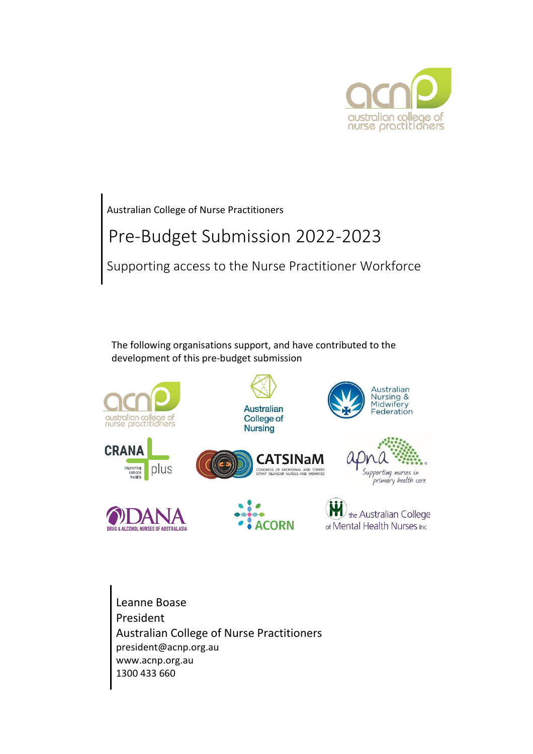

Australian College of Nurse Practitioners

# Pre-Budget Submission 2022-2023

Supporting access to the Nurse Practitioner Workforce

The following organisations support, and have contributed to the development of this pre-budget submission



Leanne Boase President Australian College of Nurse Practitioners president@acnp.org.au www.acnp.org.au 1300 433 660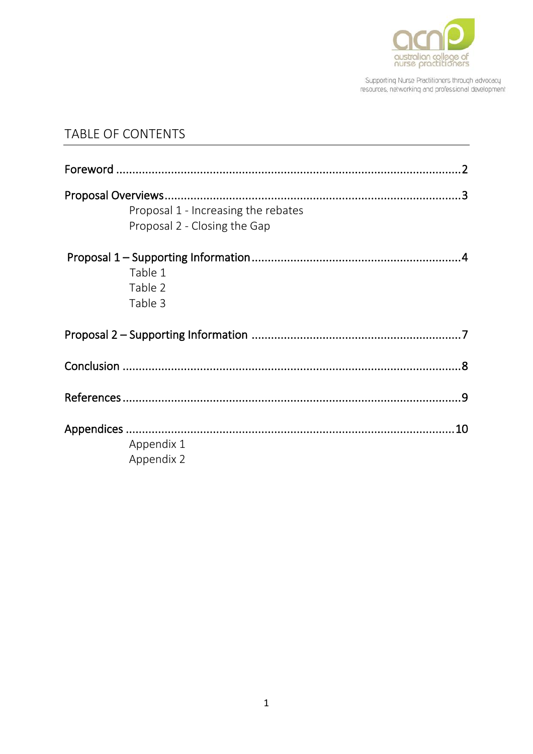

## TABLE OF CONTENTS

| Proposal 1 - Increasing the rebates<br>Proposal 2 - Closing the Gap |  |
|---------------------------------------------------------------------|--|
| Table 1<br>Table 2<br>Table 3                                       |  |
|                                                                     |  |
|                                                                     |  |
|                                                                     |  |
|                                                                     |  |
| Appendix 1<br>Appendix 2                                            |  |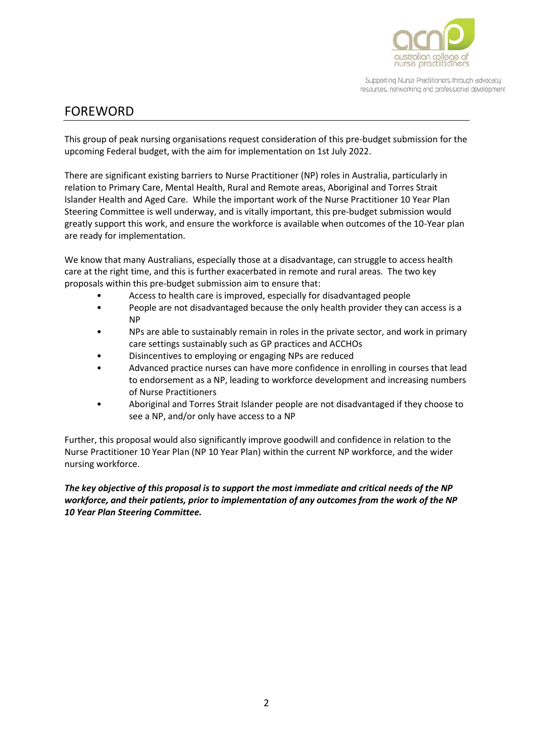

### <span id="page-2-0"></span>FOREWORD

This group of peak nursing organisations request consideration of this pre-budget submission for the upcoming Federal budget, with the aim for implementation on 1st July 2022.

There are significant existing barriers to Nurse Practitioner (NP) roles in Australia, particularly in relation to Primary Care, Mental Health, Rural and Remote areas, Aboriginal and Torres Strait Islander Health and Aged Care. While the important work of the Nurse Practitioner 10 Year Plan Steering Committee is well underway, and is vitally important, this pre-budget submission would greatly support this work, and ensure the workforce is available when outcomes of the 10-Year plan are ready for implementation.

We know that many Australians, especially those at a disadvantage, can struggle to access health care at the right time, and this is further exacerbated in remote and rural areas. The two key proposals within this pre-budget submission aim to ensure that:

- Access to health care is improved, especially for disadvantaged people
- People are not disadvantaged because the only health provider they can access is a NP
- NPs are able to sustainably remain in roles in the private sector, and work in primary care settings sustainably such as GP practices and ACCHOs
- Disincentives to employing or engaging NPs are reduced
- Advanced practice nurses can have more confidence in enrolling in courses that lead to endorsement as a NP, leading to workforce development and increasing numbers of Nurse Practitioners
- Aboriginal and Torres Strait Islander people are not disadvantaged if they choose to see a NP, and/or only have access to a NP

Further, this proposal would also significantly improve goodwill and confidence in relation to the Nurse Practitioner 10 Year Plan (NP 10 Year Plan) within the current NP workforce, and the wider nursing workforce.

#### *The key objective of this proposal is to support the most immediate and critical needs of the NP workforce, and their patients, prior to implementation of any outcomes from the work of the NP 10 Year Plan Steering Committee.*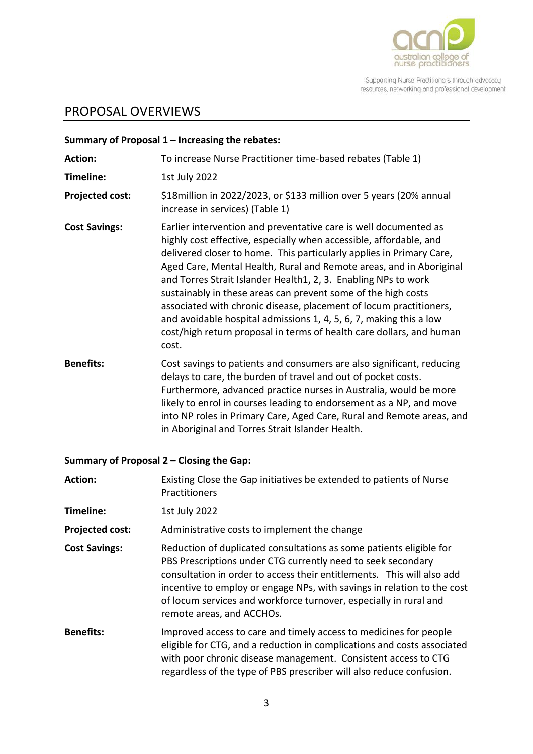

# <span id="page-3-0"></span>PROPOSAL OVERVIEWS

|                        | Summary of Proposal $1$ – Increasing the rebates:                                                                                                                                                                                                                                                                                                                                                                                                                                                                                                                                                                                                     |  |
|------------------------|-------------------------------------------------------------------------------------------------------------------------------------------------------------------------------------------------------------------------------------------------------------------------------------------------------------------------------------------------------------------------------------------------------------------------------------------------------------------------------------------------------------------------------------------------------------------------------------------------------------------------------------------------------|--|
| <b>Action:</b>         | To increase Nurse Practitioner time-based rebates (Table 1)                                                                                                                                                                                                                                                                                                                                                                                                                                                                                                                                                                                           |  |
| Timeline:              | 1st July 2022                                                                                                                                                                                                                                                                                                                                                                                                                                                                                                                                                                                                                                         |  |
| <b>Projected cost:</b> | \$18 million in 2022/2023, or \$133 million over 5 years (20% annual<br>increase in services) (Table 1)                                                                                                                                                                                                                                                                                                                                                                                                                                                                                                                                               |  |
| <b>Cost Savings:</b>   | Earlier intervention and preventative care is well documented as<br>highly cost effective, especially when accessible, affordable, and<br>delivered closer to home. This particularly applies in Primary Care,<br>Aged Care, Mental Health, Rural and Remote areas, and in Aboriginal<br>and Torres Strait Islander Health1, 2, 3. Enabling NPs to work<br>sustainably in these areas can prevent some of the high costs<br>associated with chronic disease, placement of locum practitioners,<br>and avoidable hospital admissions 1, 4, 5, 6, 7, making this a low<br>cost/high return proposal in terms of health care dollars, and human<br>cost. |  |
| <b>Benefits:</b>       | Cost savings to patients and consumers are also significant, reducing<br>delays to care, the burden of travel and out of pocket costs.<br>Furthermore, advanced practice nurses in Australia, would be more<br>likely to enrol in courses leading to endorsement as a NP, and move<br>into NP roles in Primary Care, Aged Care, Rural and Remote areas, and<br>in Aboriginal and Torres Strait Islander Health.                                                                                                                                                                                                                                       |  |

### **Summary of Proposal 2 – Closing the Gap:**

| <b>Action:</b>         | Existing Close the Gap initiatives be extended to patients of Nurse<br>Practitioners                                                                                                                                                                                                                                                                                                       |  |
|------------------------|--------------------------------------------------------------------------------------------------------------------------------------------------------------------------------------------------------------------------------------------------------------------------------------------------------------------------------------------------------------------------------------------|--|
| Timeline:              | 1st July 2022                                                                                                                                                                                                                                                                                                                                                                              |  |
| <b>Projected cost:</b> | Administrative costs to implement the change                                                                                                                                                                                                                                                                                                                                               |  |
| <b>Cost Savings:</b>   | Reduction of duplicated consultations as some patients eligible for<br>PBS Prescriptions under CTG currently need to seek secondary<br>consultation in order to access their entitlements. This will also add<br>incentive to employ or engage NPs, with savings in relation to the cost<br>of locum services and workforce turnover, especially in rural and<br>remote areas, and ACCHOs. |  |
| <b>Benefits:</b>       | Improved access to care and timely access to medicines for people<br>eligible for CTG, and a reduction in complications and costs associated<br>with poor chronic disease management. Consistent access to CTG<br>regardless of the type of PBS prescriber will also reduce confusion.                                                                                                     |  |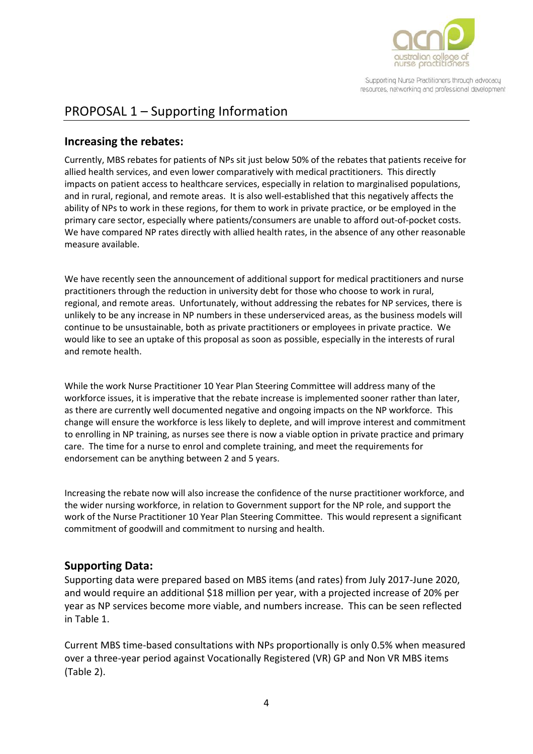

# <span id="page-4-0"></span>PROPOSAL 1 – Supporting Information

#### **Increasing the rebates:**

Currently, MBS rebates for patients of NPs sit just below 50% of the rebates that patients receive for allied health services, and even lower comparatively with medical practitioners. This directly impacts on patient access to healthcare services, especially in relation to marginalised populations, and in rural, regional, and remote areas. It is also well-established that this negatively affects the ability of NPs to work in these regions, for them to work in private practice, or be employed in the primary care sector, especially where patients/consumers are unable to afford out-of-pocket costs. We have compared NP rates directly with allied health rates, in the absence of any other reasonable measure available.

We have recently seen the announcement of additional support for medical practitioners and nurse practitioners through the reduction in university debt for those who choose to work in rural, regional, and remote areas. Unfortunately, without addressing the rebates for NP services, there is unlikely to be any increase in NP numbers in these underserviced areas, as the business models will continue to be unsustainable, both as private practitioners or employees in private practice. We would like to see an uptake of this proposal as soon as possible, especially in the interests of rural and remote health.

While the work Nurse Practitioner 10 Year Plan Steering Committee will address many of the workforce issues, it is imperative that the rebate increase is implemented sooner rather than later, as there are currently well documented negative and ongoing impacts on the NP workforce. This change will ensure the workforce is less likely to deplete, and will improve interest and commitment to enrolling in NP training, as nurses see there is now a viable option in private practice and primary care. The time for a nurse to enrol and complete training, and meet the requirements for endorsement can be anything between 2 and 5 years.

Increasing the rebate now will also increase the confidence of the nurse practitioner workforce, and the wider nursing workforce, in relation to Government support for the NP role, and support the work of the Nurse Practitioner 10 Year Plan Steering Committee. This would represent a significant commitment of goodwill and commitment to nursing and health.

#### **Supporting Data:**

Supporting data were prepared based on MBS items (and rates) from July 2017-June 2020, and would require an additional \$18 million per year, with a projected increase of 20% per year as NP services become more viable, and numbers increase. This can be seen reflected in Table 1.

Current MBS time-based consultations with NPs proportionally is only 0.5% when measured over a three-year period against Vocationally Registered (VR) GP and Non VR MBS items (Table 2).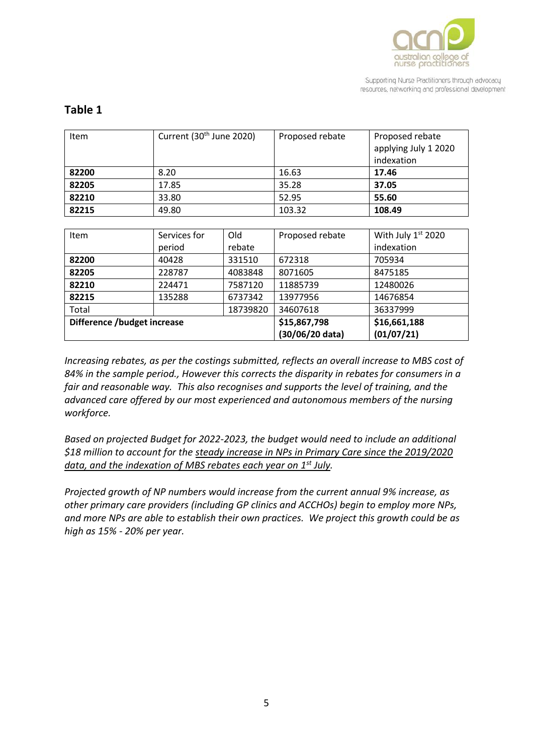

| <b>Item</b>                 | Current (30 <sup>th</sup> June 2020) |              | Proposed rebate | Proposed rebate      |
|-----------------------------|--------------------------------------|--------------|-----------------|----------------------|
|                             |                                      |              |                 | applying July 1 2020 |
|                             |                                      |              |                 | indexation           |
| 82200                       | 8.20                                 |              | 16.63           | 17.46                |
| 82205                       | 17.85                                |              | 35.28           | 37.05                |
| 82210                       | 33.80                                |              | 52.95           | 55.60                |
| 82215                       | 49.80                                |              | 103.32          | 108.49               |
|                             |                                      |              |                 |                      |
| <b>Item</b>                 | Services for                         | Old          | Proposed rebate | With July 1st 2020   |
|                             | period                               | rebate       |                 | indexation           |
| 82200                       | 40428                                | 331510       | 672318          | 705934               |
| 82205                       | 228787                               | 4083848      | 8071605         | 8475185              |
| 82210                       | 224471                               | 7587120      | 11885739        | 12480026             |
| 82215                       | 135288                               | 6737342      | 13977956        | 14676854             |
| Total                       |                                      | 18739820     | 34607618        | 36337999             |
| Difference /budget increase |                                      | \$15,867,798 | \$16,661,188    |                      |
|                             |                                      |              | (30/06/20 data) | (01/07/21)           |

#### **Table 1**

*Increasing rebates, as per the costings submitted, reflects an overall increase to MBS cost of 84% in the sample period., However this corrects the disparity in rebates for consumers in a fair and reasonable way. This also recognises and supports the level of training, and the advanced care offered by our most experienced and autonomous members of the nursing workforce.*

*Based on projected Budget for 2022-2023, the budget would need to include an additional \$18 million to account for the steady increase in NPs in Primary Care since the 2019/2020 data, and the indexation of MBS rebates each year on 1st July.*

*Projected growth of NP numbers would increase from the current annual 9% increase, as other primary care providers (including GP clinics and ACCHOs) begin to employ more NPs, and more NPs are able to establish their own practices. We project this growth could be as high as 15% - 20% per year.*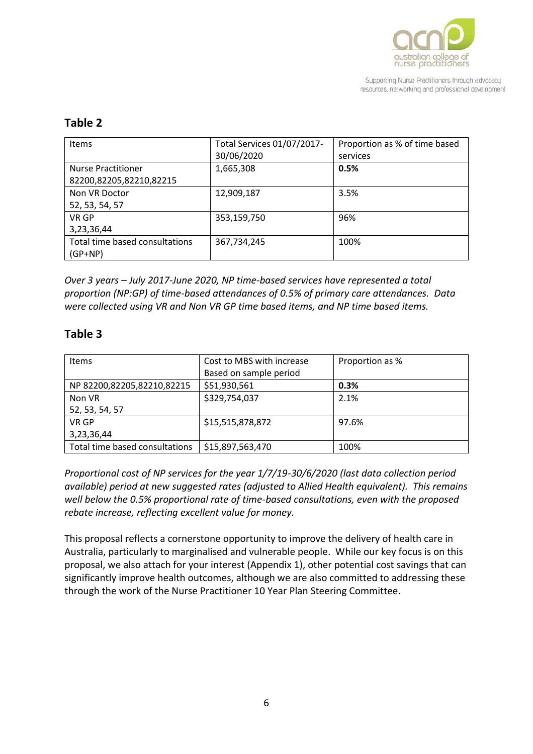

#### **Table 2**

| <b>Items</b>                                         | Total Services 01/07/2017-<br>30/06/2020 | Proportion as % of time based<br>services |
|------------------------------------------------------|------------------------------------------|-------------------------------------------|
| <b>Nurse Practitioner</b><br>82200,82205,82210,82215 | 1,665,308                                | 0.5%                                      |
| Non VR Doctor<br>52, 53, 54, 57                      | 12,909,187                               | 3.5%                                      |
| VR GP<br>3,23,36,44                                  | 353,159,750                              | 96%                                       |
| Total time based consultations<br>$(GP+NP)$          | 367,734,245                              | 100%                                      |

*Over 3 years – July 2017-June 2020, NP time-based services have represented a total proportion (NP:GP) of time-based attendances of 0.5% of primary care attendances. Data were collected using VR and Non VR GP time based items, and NP time based items.*

#### **Table 3**

| <b>Items</b>                   | Cost to MBS with increase<br>Based on sample period | Proportion as % |
|--------------------------------|-----------------------------------------------------|-----------------|
| NP 82200,82205,82210,82215     | \$51,930,561                                        | 0.3%            |
| Non VR                         | \$329,754,037                                       | 2.1%            |
| 52, 53, 54, 57                 |                                                     |                 |
| VR GP                          | \$15,515,878,872                                    | 97.6%           |
| 3,23,36,44                     |                                                     |                 |
| Total time based consultations | \$15,897,563,470                                    | 100%            |

*Proportional cost of NP services for the year 1/7/19-30/6/2020 (last data collection period available) period at new suggested rates (adjusted to Allied Health equivalent). This remains well below the 0.5% proportional rate of time-based consultations, even with the proposed rebate increase, reflecting excellent value for money.*

This proposal reflects a cornerstone opportunity to improve the delivery of health care in Australia, particularly to marginalised and vulnerable people. While our key focus is on this proposal, we also attach for your interest (Appendix 1), other potential cost savings that can significantly improve health outcomes, although we are also committed to addressing these through the work of the Nurse Practitioner 10 Year Plan Steering Committee.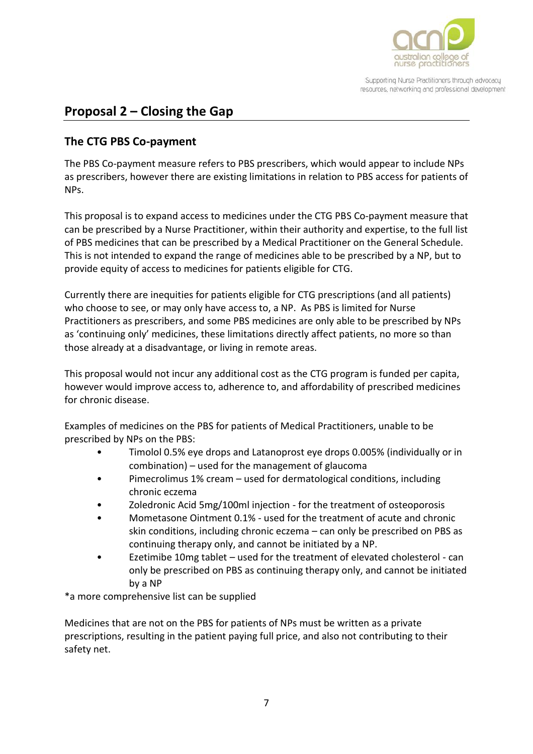

# <span id="page-7-0"></span>**Proposal 2 – Closing the Gap**

#### **The CTG PBS Co-payment**

The PBS Co-payment measure refers to PBS prescribers, which would appear to include NPs as prescribers, however there are existing limitations in relation to PBS access for patients of NPs.

This proposal is to expand access to medicines under the CTG PBS Co-payment measure that can be prescribed by a Nurse Practitioner, within their authority and expertise, to the full list of PBS medicines that can be prescribed by a Medical Practitioner on the General Schedule. This is not intended to expand the range of medicines able to be prescribed by a NP, but to provide equity of access to medicines for patients eligible for CTG.

Currently there are inequities for patients eligible for CTG prescriptions (and all patients) who choose to see, or may only have access to, a NP. As PBS is limited for Nurse Practitioners as prescribers, and some PBS medicines are only able to be prescribed by NPs as 'continuing only' medicines, these limitations directly affect patients, no more so than those already at a disadvantage, or living in remote areas.

This proposal would not incur any additional cost as the CTG program is funded per capita, however would improve access to, adherence to, and affordability of prescribed medicines for chronic disease.

Examples of medicines on the PBS for patients of Medical Practitioners, unable to be prescribed by NPs on the PBS:

- Timolol 0.5% eye drops and Latanoprost eye drops 0.005% (individually or in combination) – used for the management of glaucoma
- Pimecrolimus 1% cream used for dermatological conditions, including chronic eczema
- Zoledronic Acid 5mg/100ml injection for the treatment of osteoporosis
- Mometasone Ointment 0.1% used for the treatment of acute and chronic skin conditions, including chronic eczema – can only be prescribed on PBS as continuing therapy only, and cannot be initiated by a NP.
- Ezetimibe 10mg tablet used for the treatment of elevated cholesterol can only be prescribed on PBS as continuing therapy only, and cannot be initiated by a NP

\*a more comprehensive list can be supplied

Medicines that are not on the PBS for patients of NPs must be written as a private prescriptions, resulting in the patient paying full price, and also not contributing to their safety net.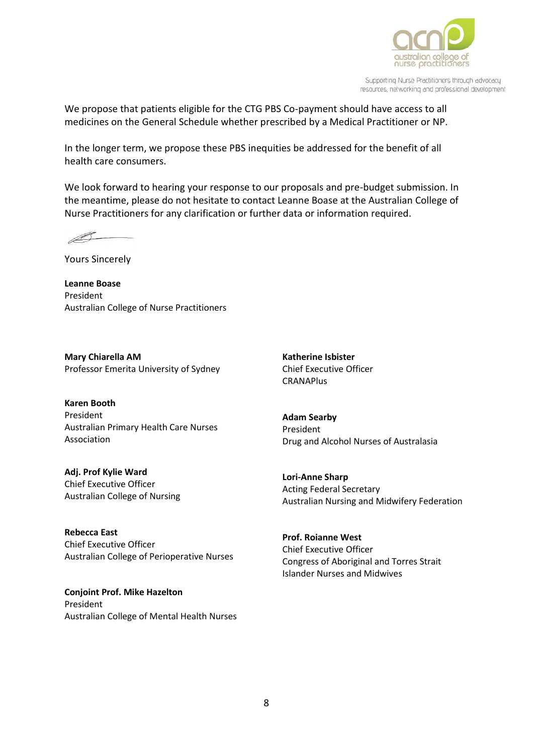

We propose that patients eligible for the CTG PBS Co-payment should have access to all medicines on the General Schedule whether prescribed by a Medical Practitioner or NP.

In the longer term, we propose these PBS inequities be addressed for the benefit of all health care consumers.

We look forward to hearing your response to our proposals and pre-budget submission. In the meantime, please do not hesitate to contact Leanne Boase at the Australian College of Nurse Practitioners for any clarification or further data or information required.

 $\mathscr{A}$ 

Yours Sincerely

**Leanne Boase** President Australian College of Nurse Practitioners

**Mary Chiarella AM** Professor Emerita University of Sydney

**Karen Booth**  President Australian Primary Health Care Nurses Association

**Adj. Prof Kylie Ward** Chief Executive Officer Australian College of Nursing

**Rebecca East** Chief Executive Officer Australian College of Perioperative Nurses

**Conjoint Prof. Mike Hazelton** President Australian College of Mental Health Nurses **Katherine Isbister** Chief Executive Officer **CRANAPlus** 

**Adam Searby**  President Drug and Alcohol Nurses of Australasia

**Lori-Anne Sharp** Acting Federal Secretary Australian Nursing and Midwifery Federation

**Prof. Roianne West** Chief Executive Officer Congress of Aboriginal and Torres Strait Islander Nurses and Midwives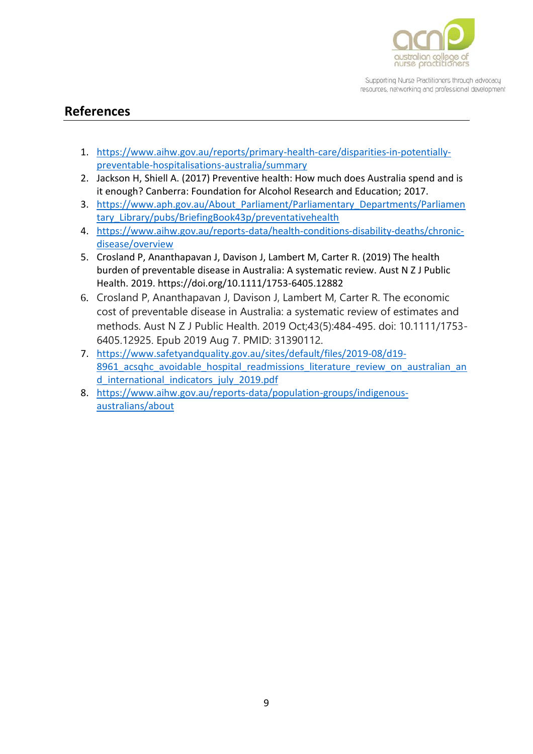

### <span id="page-9-0"></span>**References**

- 1. [https://www.aihw.gov.au/reports/primary-health-care/disparities-in-potentially](https://www.aihw.gov.au/reports/primary-health-care/disparities-in-potentially-preventable-hospitalisations-australia/summary)[preventable-hospitalisations-australia/summary](https://www.aihw.gov.au/reports/primary-health-care/disparities-in-potentially-preventable-hospitalisations-australia/summary)
- 2. Jackson H, Shiell A. (2017) Preventive health: How much does Australia spend and is it enough? Canberra: Foundation for Alcohol Research and Education; 2017.
- 3. https://www.aph.gov.au/About Parliament/Parliamentary Departments/Parliamen [tary\\_Library/pubs/BriefingBook43p/preventativehealth](https://www.aph.gov.au/About_Parliament/Parliamentary_Departments/Parliamentary_Library/pubs/BriefingBook43p/preventativehealth)
- 4. [https://www.aihw.gov.au/reports-data/health-conditions-disability-deaths/chronic](https://www.aihw.gov.au/reports-data/health-conditions-disability-deaths/chronic-disease/overview)[disease/overview](https://www.aihw.gov.au/reports-data/health-conditions-disability-deaths/chronic-disease/overview)
- 5. Crosland P, Ananthapavan J, Davison J, Lambert M, Carter R. (2019) The health burden of preventable disease in Australia: A systematic review. Aust N Z J Public Health. 2019. <https://doi.org/10.1111/1753-6405.12882>
- 6. Crosland P, Ananthapavan J, Davison J, Lambert M, Carter R. The economic cost of preventable disease in Australia: a systematic review of estimates and methods. Aust N Z J Public Health. 2019 Oct;43(5):484-495. doi: 10.1111/1753- 6405.12925. Epub 2019 Aug 7. PMID: 31390112.
- 7. [https://www.safetyandquality.gov.au/sites/default/files/2019-08/d19-](https://www.safetyandquality.gov.au/sites/default/files/2019-08/d19-8961_acsqhc_avoidable_hospital_readmissions_literature_review_on_australian_and_international_indicators_july_2019.pdf) 8961 acsqhc avoidable hospital readmissions literature review on australian an [d\\_international\\_indicators\\_july\\_2019.pdf](https://www.safetyandquality.gov.au/sites/default/files/2019-08/d19-8961_acsqhc_avoidable_hospital_readmissions_literature_review_on_australian_and_international_indicators_july_2019.pdf)
- 8. [https://www.aihw.gov.au/reports-data/population-groups/indigenous](https://www.aihw.gov.au/reports-data/population-groups/indigenous-australians/about)[australians/about](https://www.aihw.gov.au/reports-data/population-groups/indigenous-australians/about)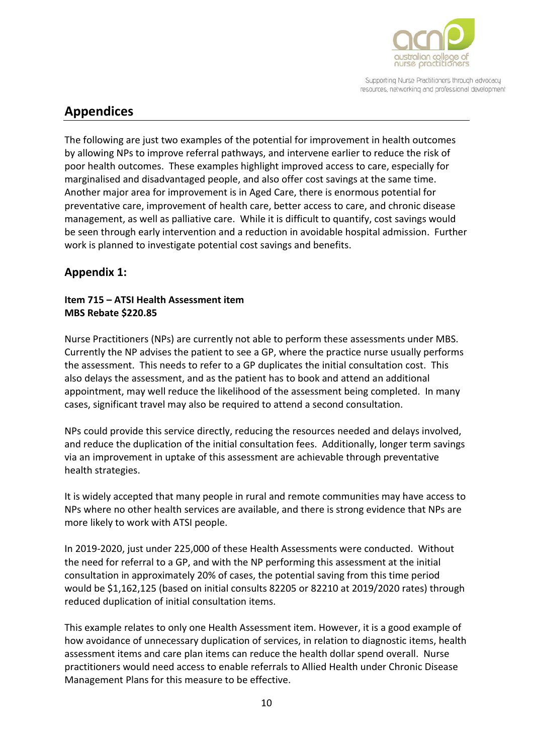

# <span id="page-10-0"></span>**Appendices**

The following are just two examples of the potential for improvement in health outcomes by allowing NPs to improve referral pathways, and intervene earlier to reduce the risk of poor health outcomes. These examples highlight improved access to care, especially for marginalised and disadvantaged people, and also offer cost savings at the same time. Another major area for improvement is in Aged Care, there is enormous potential for preventative care, improvement of health care, better access to care, and chronic disease management, as well as palliative care. While it is difficult to quantify, cost savings would be seen through early intervention and a reduction in avoidable hospital admission. Further work is planned to investigate potential cost savings and benefits.

### **Appendix 1:**

#### **Item 715 – ATSI Health Assessment item MBS Rebate \$220.85**

Nurse Practitioners (NPs) are currently not able to perform these assessments under MBS. Currently the NP advises the patient to see a GP, where the practice nurse usually performs the assessment. This needs to refer to a GP duplicates the initial consultation cost. This also delays the assessment, and as the patient has to book and attend an additional appointment, may well reduce the likelihood of the assessment being completed. In many cases, significant travel may also be required to attend a second consultation.

NPs could provide this service directly, reducing the resources needed and delays involved, and reduce the duplication of the initial consultation fees. Additionally, longer term savings via an improvement in uptake of this assessment are achievable through preventative health strategies.

It is widely accepted that many people in rural and remote communities may have access to NPs where no other health services are available, and there is strong evidence that NPs are more likely to work with ATSI people.

In 2019-2020, just under 225,000 of these Health Assessments were conducted. Without the need for referral to a GP, and with the NP performing this assessment at the initial consultation in approximately 20% of cases, the potential saving from this time period would be \$1,162,125 (based on initial consults 82205 or 82210 at 2019/2020 rates) through reduced duplication of initial consultation items.

This example relates to only one Health Assessment item. However, it is a good example of how avoidance of unnecessary duplication of services, in relation to diagnostic items, health assessment items and care plan items can reduce the health dollar spend overall. Nurse practitioners would need access to enable referrals to Allied Health under Chronic Disease Management Plans for this measure to be effective.